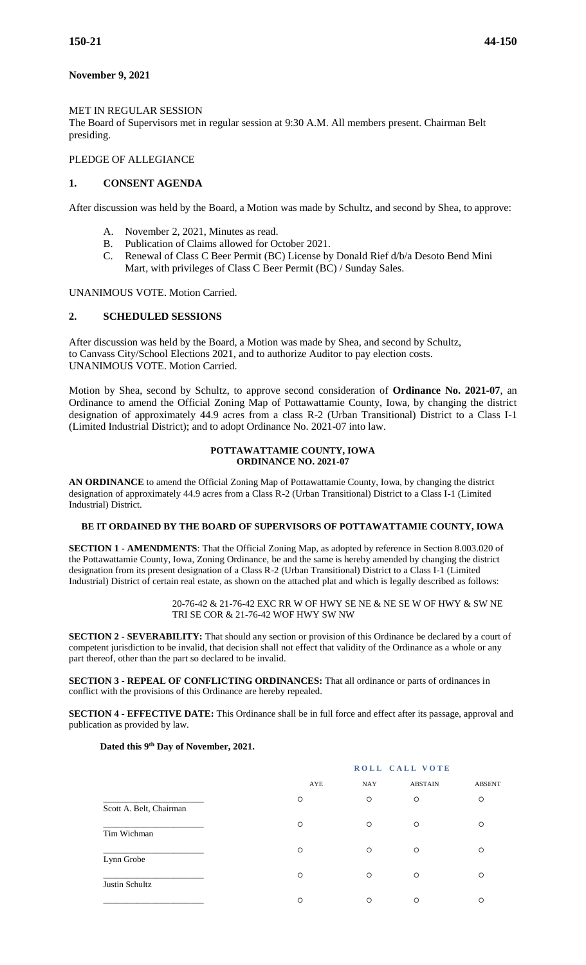# **November 9, 2021**

#### MET IN REGULAR SESSION

The Board of Supervisors met in regular session at 9:30 A.M. All members present. Chairman Belt presiding.

# PLEDGE OF ALLEGIANCE

# **1. CONSENT AGENDA**

After discussion was held by the Board, a Motion was made by Schultz, and second by Shea, to approve:

- A. November 2, 2021, Minutes as read.
- B. Publication of Claims allowed for October 2021.
- C. Renewal of Class C Beer Permit (BC) License by Donald Rief d/b/a Desoto Bend Mini Mart, with privileges of Class C Beer Permit (BC) / Sunday Sales.

UNANIMOUS VOTE. Motion Carried.

#### **2. SCHEDULED SESSIONS**

After discussion was held by the Board, a Motion was made by Shea, and second by Schultz, to Canvass City/School Elections 2021, and to authorize Auditor to pay election costs. UNANIMOUS VOTE. Motion Carried.

Motion by Shea, second by Schultz, to approve second consideration of **Ordinance No. 2021-07**, an Ordinance to amend the Official Zoning Map of Pottawattamie County, Iowa, by changing the district designation of approximately 44.9 acres from a class R-2 (Urban Transitional) District to a Class I-1 (Limited Industrial District); and to adopt Ordinance No. 2021-07 into law.

#### **POTTAWATTAMIE COUNTY, IOWA ORDINANCE NO. 2021-07**

**AN ORDINANCE** to amend the Official Zoning Map of Pottawattamie County, Iowa, by changing the district designation of approximately 44.9 acres from a Class R-2 (Urban Transitional) District to a Class I-1 (Limited Industrial) District.

# **BE IT ORDAINED BY THE BOARD OF SUPERVISORS OF POTTAWATTAMIE COUNTY, IOWA**

**SECTION 1 - AMENDMENTS**: That the Official Zoning Map, as adopted by reference in Section 8.003.020 of the Pottawattamie County, Iowa, Zoning Ordinance, be and the same is hereby amended by changing the district designation from its present designation of a Class R-2 (Urban Transitional) District to a Class I-1 (Limited Industrial) District of certain real estate, as shown on the attached plat and which is legally described as follows:

> 20-76-42 & 21-76-42 EXC RR W OF HWY SE NE & NE SE W OF HWY & SW NE TRI SE COR & 21-76-42 WOF HWY SW NW

**SECTION 2 - SEVERABILITY:** That should any section or provision of this Ordinance be declared by a court of competent jurisdiction to be invalid, that decision shall not effect that validity of the Ordinance as a whole or any part thereof, other than the part so declared to be invalid.

**SECTION 3 - REPEAL OF CONFLICTING ORDINANCES:** That all ordinance or parts of ordinances in conflict with the provisions of this Ordinance are hereby repealed.

**SECTION 4 - EFFECTIVE DATE:** This Ordinance shall be in full force and effect after its passage, approval and publication as provided by law.

#### **Dated this 9th Day of November, 2021.**

|                         |         | ROLL CALL VOTE |                |               |  |
|-------------------------|---------|----------------|----------------|---------------|--|
|                         | AYE     | <b>NAY</b>     | <b>ABSTAIN</b> | <b>ABSENT</b> |  |
| Scott A. Belt, Chairman | O       | $\circ$        | $\circ$        | $\circ$       |  |
| Tim Wichman             | $\circ$ | $\circ$        | $\circ$        | ∩             |  |
| Lynn Grobe              | $\circ$ | $\circ$        | $\circ$        | ∩             |  |
| Justin Schultz          | $\circ$ | $\circ$        | $\circ$        | ∩             |  |
|                         | $\circ$ | $\circ$        | $\circ$        | ∩             |  |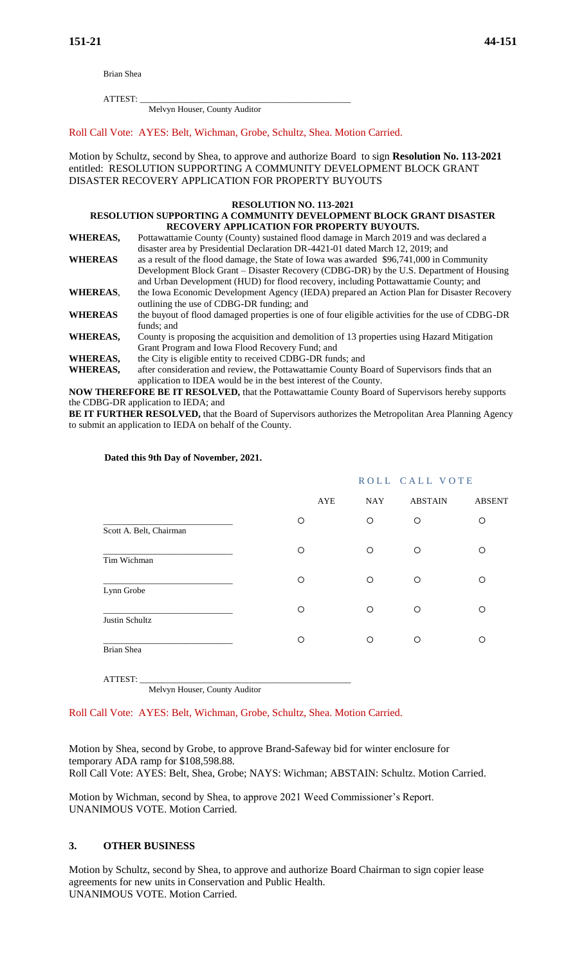Brian Shea

ATTEST: \_\_\_\_\_\_\_\_\_\_\_\_\_\_\_\_\_\_\_\_\_\_\_\_\_\_\_\_\_\_\_\_\_\_\_\_\_\_\_\_\_\_\_\_\_\_\_\_\_

Melvyn Houser, County Auditor

Roll Call Vote: AYES: Belt, Wichman, Grobe, Schultz, Shea. Motion Carried.

Motion by Schultz, second by Shea, to approve and authorize Board to sign **Resolution No. 113-2021** entitled: RESOLUTION SUPPORTING A COMMUNITY DEVELOPMENT BLOCK GRANT DISASTER RECOVERY APPLICATION FOR PROPERTY BUYOUTS

#### **RESOLUTION NO. 113-2021**

#### **RESOLUTION SUPPORTING A COMMUNITY DEVELOPMENT BLOCK GRANT DISASTER RECOVERY APPLICATION FOR PROPERTY BUYOUTS.**

**WHEREAS,** Pottawattamie County (County) sustained flood damage in March 2019 and was declared a disaster area by Presidential Declaration DR-4421-01 dated March 12, 2019; and **WHEREAS** as a result of the flood damage, the State of Iowa was awarded \$96,741,000 in Community Development Block Grant – Disaster Recovery (CDBG-DR) by the U.S. Department of Housing

and Urban Development (HUD) for flood recovery, including Pottawattamie County; and **WHEREAS**, the Iowa Economic Development Agency (IEDA) prepared an Action Plan for Disaster Recovery outlining the use of CDBG-DR funding; and

**WHEREAS** the buyout of flood damaged properties is one of four eligible activities for the use of CDBG-DR funds; and

**WHEREAS,** County is proposing the acquisition and demolition of 13 properties using Hazard Mitigation Grant Program and Iowa Flood Recovery Fund; and

**WHEREAS,** the City is eligible entity to received CDBG-DR funds; and

**WHEREAS,** after consideration and review, the Pottawattamie County Board of Supervisors finds that an application to IDEA would be in the best interest of the County.

**NOW THEREFORE BE IT RESOLVED,** that the Pottawattamie County Board of Supervisors hereby supports the CDBG-DR application to IEDA; and

**BE IT FURTHER RESOLVED,** that the Board of Supervisors authorizes the Metropolitan Area Planning Agency to submit an application to IEDA on behalf of the County.

#### **Dated this 9th Day of November, 2021.**

|                         |         | ROLL CALL VOTE |                |               |
|-------------------------|---------|----------------|----------------|---------------|
|                         | AYE     | <b>NAY</b>     | <b>ABSTAIN</b> | <b>ABSENT</b> |
| Scott A. Belt, Chairman | O       | O              | O              | O             |
| Tim Wichman             | O       | O              | $\circ$        | O             |
| Lynn Grobe              | $\circ$ | O              | $\circ$        | O             |
| Justin Schultz          | O       | O              | $\circ$        | O             |
| Brian Shea              | O       | O              | O              | ∩             |

ATTEST: \_\_\_\_\_\_\_\_\_\_\_\_\_\_\_\_\_\_\_\_\_\_\_\_\_\_\_\_\_\_\_\_\_\_\_\_\_\_\_\_\_\_\_\_\_\_\_\_\_ Melvyn Houser, County Auditor

Roll Call Vote: AYES: Belt, Wichman, Grobe, Schultz, Shea. Motion Carried.

Motion by Shea, second by Grobe, to approve Brand-Safeway bid for winter enclosure for temporary ADA ramp for \$108,598.88. Roll Call Vote: AYES: Belt, Shea, Grobe; NAYS: Wichman; ABSTAIN: Schultz. Motion Carried.

Motion by Wichman, second by Shea, to approve 2021 Weed Commissioner's Report. UNANIMOUS VOTE. Motion Carried.

## **3. OTHER BUSINESS**

Motion by Schultz, second by Shea, to approve and authorize Board Chairman to sign copier lease agreements for new units in Conservation and Public Health. UNANIMOUS VOTE. Motion Carried.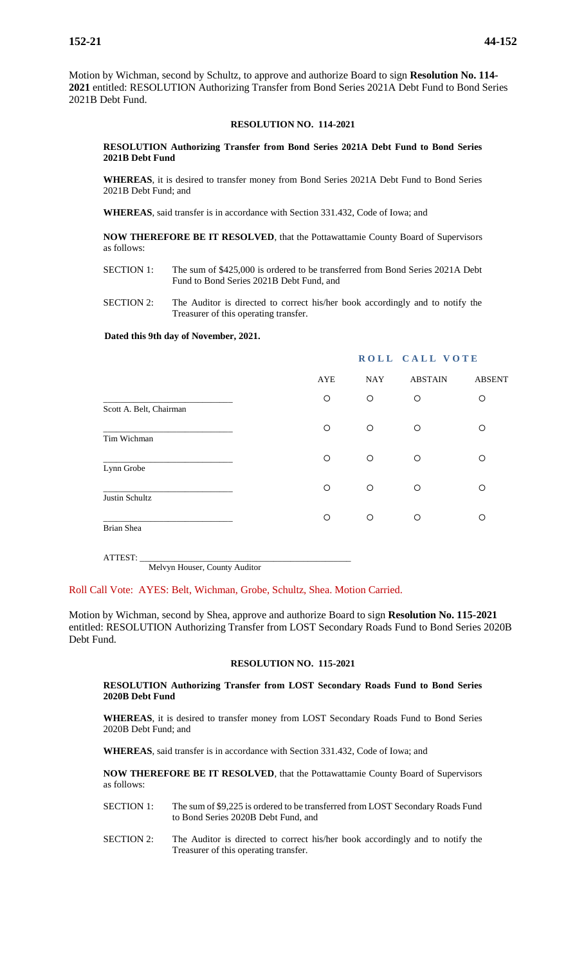Motion by Wichman, second by Schultz, to approve and authorize Board to sign **Resolution No. 114- 2021** entitled: RESOLUTION Authorizing Transfer from Bond Series 2021A Debt Fund to Bond Series 2021B Debt Fund.

#### **RESOLUTION NO. 114-2021**

#### **RESOLUTION Authorizing Transfer from Bond Series 2021A Debt Fund to Bond Series 2021B Debt Fund**

**WHEREAS**, it is desired to transfer money from Bond Series 2021A Debt Fund to Bond Series 2021B Debt Fund; and

**WHEREAS**, said transfer is in accordance with Section 331.432, Code of Iowa; and

**NOW THEREFORE BE IT RESOLVED**, that the Pottawattamie County Board of Supervisors as follows:

SECTION 1: The sum of \$425,000 is ordered to be transferred from Bond Series 2021A Debt Fund to Bond Series 2021B Debt Fund, and

SECTION 2: The Auditor is directed to correct his/her book accordingly and to notify the Treasurer of this operating transfer.

 **Dated this 9th day of November, 2021.**

# AYE NAY ABSTAIN ABSENT \_\_\_\_\_\_\_\_\_\_\_\_\_\_\_\_\_\_\_\_\_\_\_\_\_\_\_\_\_\_ Scott A. Belt, Chairman \_\_\_\_\_\_\_\_\_\_\_\_\_\_\_\_\_\_\_\_\_\_\_\_\_\_\_\_\_\_ Tim Wichman \_\_\_\_\_\_\_\_\_\_\_\_\_\_\_\_\_\_\_\_\_\_\_\_\_\_\_\_\_\_ Lynn Grobe \_\_\_\_\_\_\_\_\_\_\_\_\_\_\_\_\_\_\_\_\_\_\_\_\_\_\_\_\_\_ Justin Schultz \_\_\_\_\_\_\_\_\_\_\_\_\_\_\_\_\_\_\_\_\_\_\_\_\_\_\_\_\_\_ Brian Shea

ATTEST:  $\_$ Melvyn Houser, County Auditor

Roll Call Vote: AYES: Belt, Wichman, Grobe, Schultz, Shea. Motion Carried.

Motion by Wichman, second by Shea, approve and authorize Board to sign **Resolution No. 115-2021**  entitled: RESOLUTION Authorizing Transfer from LOST Secondary Roads Fund to Bond Series 2020B Debt Fund.

#### **RESOLUTION NO. 115-2021**

**RESOLUTION Authorizing Transfer from LOST Secondary Roads Fund to Bond Series 2020B Debt Fund**

**WHEREAS**, it is desired to transfer money from LOST Secondary Roads Fund to Bond Series 2020B Debt Fund; and

**WHEREAS**, said transfer is in accordance with Section 331.432, Code of Iowa; and

**NOW THEREFORE BE IT RESOLVED**, that the Pottawattamie County Board of Supervisors as follows:

- SECTION 1: The sum of \$9,225 is ordered to be transferred from LOST Secondary Roads Fund to Bond Series 2020B Debt Fund, and
- SECTION 2: The Auditor is directed to correct his/her book accordingly and to notify the Treasurer of this operating transfer.

#### **ROLL CALL VOTE**

|                         | AYE     | NAY     | ABS I AIN | ABSEN <sub>1</sub> |
|-------------------------|---------|---------|-----------|--------------------|
|                         | $\circ$ | $\circ$ | $\circ$   | O                  |
| Scott A. Belt, Chairman | $\circ$ | $\circ$ | $\circ$   | O                  |
| Tim Wichman             |         |         |           |                    |
| Lynn Grobe              | $\circ$ | $\circ$ | $\circ$   | O                  |
|                         | $\circ$ | $\circ$ | $\circ$   | O                  |
| Justin Schultz          | $\circ$ | $\circ$ | $\circ$   | Ω                  |
| Brian Shea              |         |         |           |                    |
|                         |         |         |           |                    |